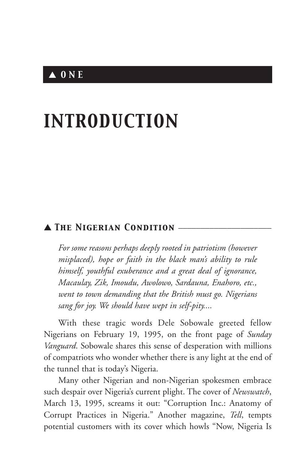## ▲ *ONE*

# *INTRODUCTION*

### ▲ *The Nigerian Condition* \_\_\_\_\_\_\_\_\_\_\_\_\_\_\_\_\_\_\_\_\_

*For some reasons perhaps deeply rooted in patriotism (however misplaced), hope or faith in the black man's ability to rule himself, youthful exuberance and a great deal of ignorance, Macaulay, Zik, Imoudu, Awolowo, Sardauna, Enahoro, etc., went to town demanding that the British must go. Nigerians sang for joy. We should have wept in self-pity....*

With these tragic words Dele Sobowale greeted fellow Nigerians on February 19, 1995, on the front page of *Sunday Vanguard*. Sobowale shares this sense of desperation with millions of compatriots who wonder whether there is any light at the end of the tunnel that is today's Nigeria.

Many other Nigerian and non-Nigerian spokesmen embrace such despair over Nigeria's current plight. The cover of *Newswatch*, March 13, 1995, screams it out: "Corruption Inc.: Anatomy of Corrupt Practices in Nigeria." Another magazine, *Tell*, tempts potential customers with its cover which howls "Now, Nigeria Is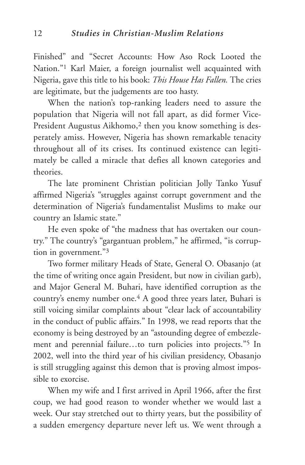Finished" and "Secret Accounts: How Aso Rock Looted the Nation."1 Karl Maier, a foreign journalist well acquainted with Nigeria, gave this title to his book: *This House Has Fallen.* The cries are legitimate, but the judgements are too hasty.

When the nation's top-ranking leaders need to assure the population that Nigeria will not fall apart, as did former Vice-President Augustus Aikhomo,<sup>2</sup> then you know something is desperately amiss. However, Nigeria has shown remarkable tenacity throughout all of its crises. Its continued existence can legitimately be called a miracle that defies all known categories and theories.

The late prominent Christian politician Jolly Tanko Yusuf affirmed Nigeria's "struggles against corrupt government and the determination of Nigeria's fundamentalist Muslims to make our country an Islamic state."

He even spoke of "the madness that has overtaken our country." The country's "gargantuan problem," he affirmed, "is corruption in government."3

Two former military Heads of State, General O. Obasanjo (at the time of writing once again President, but now in civilian garb), and Major General M. Buhari, have identified corruption as the country's enemy number one.4 A good three years later, Buhari is still voicing similar complaints about "clear lack of accountability in the conduct of public affairs." In 1998, we read reports that the economy is being destroyed by an "astounding degree of embezzlement and perennial failure…to turn policies into projects."5 In 2002, well into the third year of his civilian presidency, Obasanjo is still struggling against this demon that is proving almost impossible to exorcise.

When my wife and I first arrived in April 1966, after the first coup, we had good reason to wonder whether we would last a week. Our stay stretched out to thirty years, but the possibility of a sudden emergency departure never left us. We went through a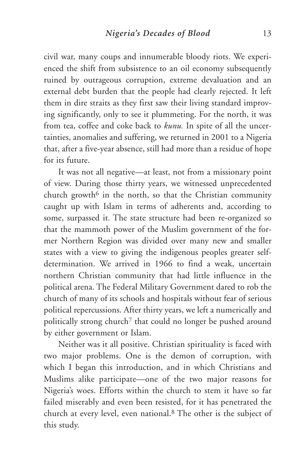civil war, many coups and innumerable bloody riots. We experienced the shift from subsistence to an oil economy subsequently ruined by outrageous corruption, extreme devaluation and an external debt burden that the people had clearly rejected. It left them in dire straits as they first saw their living standard improving significantly, only to see it plummeting. For the north, it was from tea, coffee and coke back to *kunu.* In spite of all the uncertainties, anomalies and suffering, we returned in 2001 to a Nigeria that, after a five-year absence, still had more than a residue of hope for its future.

It was not all negative—at least, not from a missionary point of view. During those thirty years, we witnessed unprecedented church growth<sup>6</sup> in the north, so that the Christian community caught up with Islam in terms of adherents and, according to some, surpassed it. The state structure had been re-organized so that the mammoth power of the Muslim government of the former Northern Region was divided over many new and smaller states with a view to giving the indigenous peoples greater selfdetermination. We arrived in 1966 to find a weak, uncertain northern Christian community that had little influence in the political arena. The Federal Military Government dared to rob the church of many of its schools and hospitals without fear of serious political repercussions. After thirty years, we left a numerically and politically strong church7 that could no longer be pushed around by either government or Islam.

Neither was it all positive. Christian spirituality is faced with two major problems. One is the demon of corruption, with which I began this introduction, and in which Christians and Muslims alike participate—one of the two major reasons for Nigeria's woes. Efforts within the church to stem it have so far failed miserably and even been resisted, for it has penetrated the church at every level, even national.8 The other is the subject of this study.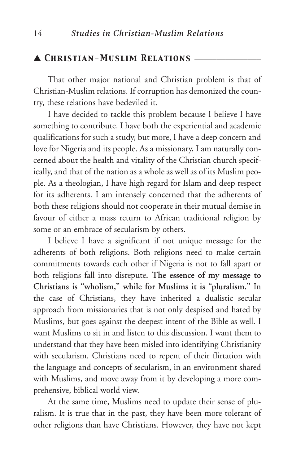#### ▲ *Christian-Muslim Relations* \_\_\_\_\_\_\_\_\_\_\_\_\_\_\_

That other major national and Christian problem is that of Christian-Muslim relations. If corruption has demonized the country, these relations have bedeviled it.

I have decided to tackle this problem because I believe I have something to contribute. I have both the experiential and academic qualifications for such a study, but more, I have a deep concern and love for Nigeria and its people. As a missionary, I am naturally concerned about the health and vitality of the Christian church specifically, and that of the nation as a whole as well as of its Muslim people. As a theologian, I have high regard for Islam and deep respect for its adherents. I am intensely concerned that the adherents of both these religions should not cooperate in their mutual demise in favour of either a mass return to African traditional religion by some or an embrace of secularism by others.

I believe I have a significant if not unique message for the adherents of both religions. Both religions need to make certain commitments towards each other if Nigeria is not to fall apart or both religions fall into disrepute**. The essence of my message to Christians is "wholism," while for Muslims it is "pluralism."** In the case of Christians, they have inherited a dualistic secular approach from missionaries that is not only despised and hated by Muslims, but goes against the deepest intent of the Bible as well. I want Muslims to sit in and listen to this discussion. I want them to understand that they have been misled into identifying Christianity with secularism. Christians need to repent of their flirtation with the language and concepts of secularism, in an environment shared with Muslims, and move away from it by developing a more comprehensive, biblical world view.

At the same time, Muslims need to update their sense of pluralism. It is true that in the past, they have been more tolerant of other religions than have Christians. However, they have not kept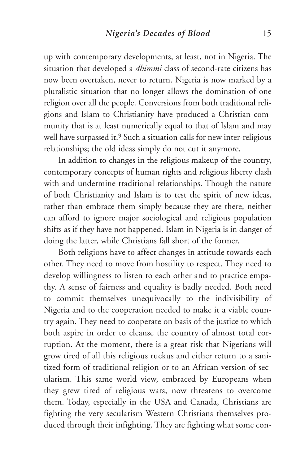up with contemporary developments, at least, not in Nigeria. The situation that developed a *dhimmi* class of second-rate citizens has now been overtaken, never to return. Nigeria is now marked by a pluralistic situation that no longer allows the domination of one religion over all the people. Conversions from both traditional religions and Islam to Christianity have produced a Christian community that is at least numerically equal to that of Islam and may well have surpassed it.<sup>9</sup> Such a situation calls for new inter-religious relationships; the old ideas simply do not cut it anymore.

In addition to changes in the religious makeup of the country, contemporary concepts of human rights and religious liberty clash with and undermine traditional relationships. Though the nature of both Christianity and Islam is to test the spirit of new ideas, rather than embrace them simply because they are there, neither can afford to ignore major sociological and religious population shifts as if they have not happened. Islam in Nigeria is in danger of doing the latter, while Christians fall short of the former.

Both religions have to affect changes in attitude towards each other. They need to move from hostility to respect. They need to develop willingness to listen to each other and to practice empathy. A sense of fairness and equality is badly needed. Both need to commit themselves unequivocally to the indivisibility of Nigeria and to the cooperation needed to make it a viable country again. They need to cooperate on basis of the justice to which both aspire in order to cleanse the country of almost total corruption. At the moment, there is a great risk that Nigerians will grow tired of all this religious ruckus and either return to a sanitized form of traditional religion or to an African version of secularism. This same world view, embraced by Europeans when they grew tired of religious wars, now threatens to overcome them. Today, especially in the USA and Canada, Christians are fighting the very secularism Western Christians themselves produced through their infighting. They are fighting what some con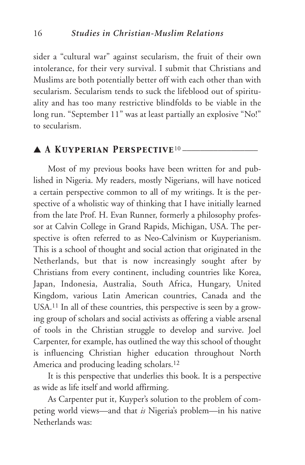sider a "cultural war" against secularism, the fruit of their own intolerance, for their very survival. I submit that Christians and Muslims are both potentially better off with each other than with secularism. Secularism tends to suck the lifeblood out of spirituality and has too many restrictive blindfolds to be viable in the long run. "September 11" was at least partially an explosive "No!" to secularism.

#### ▲ *A Kuyperian Perspective*10 \_\_\_\_\_\_\_\_\_\_\_\_\_\_\_\_\_

Most of my previous books have been written for and published in Nigeria. My readers, mostly Nigerians, will have noticed a certain perspective common to all of my writings. It is the perspective of a wholistic way of thinking that I have initially learned from the late Prof. H. Evan Runner, formerly a philosophy professor at Calvin College in Grand Rapids, Michigan, USA. The perspective is often referred to as Neo-Calvinism or Kuyperianism. This is a school of thought and social action that originated in the Netherlands, but that is now increasingly sought after by Christians from every continent, including countries like Korea, Japan, Indonesia, Australia, South Africa, Hungary, United Kingdom, various Latin American countries, Canada and the USA.11 In all of these countries, this perspective is seen by a growing group of scholars and social activists as offering a viable arsenal of tools in the Christian struggle to develop and survive. Joel Carpenter, for example, has outlined the way this school of thought is influencing Christian higher education throughout North America and producing leading scholars.12

It is this perspective that underlies this book. It is a perspective as wide as life itself and world affirming.

As Carpenter put it, Kuyper's solution to the problem of competing world views—and that *is* Nigeria's problem—in his native Netherlands was: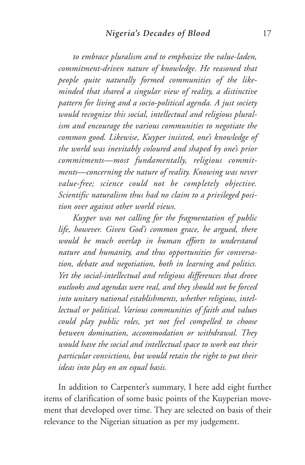*to embrace pluralism and to emphasize the value-laden, commitment-driven nature of knowledge. He reasoned that people quite naturally formed communities of the likeminded that shared a singular view of reality, a distinctive pattern for living and a socio-political agenda. A just society would recognize this social, intellectual and religious pluralism and encourage the various communities to negotiate the common good. Likewise, Kuyper insisted, one's knowledge of the world was inevitably coloured and shaped by one's prior commitments—most fundamentally, religious commitments—concerning the nature of reality. Knowing was never value-free; science could not be completely objective. Scientific naturalism thus had no claim to a privileged position over against other world views.*

*Kuyper was not calling for the fragmentation of public life, however. Given God's common grace, he argued, there would be much overlap in human efforts to understand nature and humanity, and thus opportunities for conversation, debate and negotiation, both in learning and politics. Yet the social-intellectual and religious differences that drove outlooks and agendas were real, and they should not be forced into unitary national establishments, whether religious, intellectual or political. Various communities of faith and values could play public roles, yet not feel compelled to choose between domination, accommodation or withdrawal. They would have the social and intellectual space to work out their particular convictions, but would retain the right to put their ideas into play on an equal basis.*

In addition to Carpenter's summary, I here add eight further items of clarification of some basic points of the Kuyperian movement that developed over time. They are selected on basis of their relevance to the Nigerian situation as per my judgement.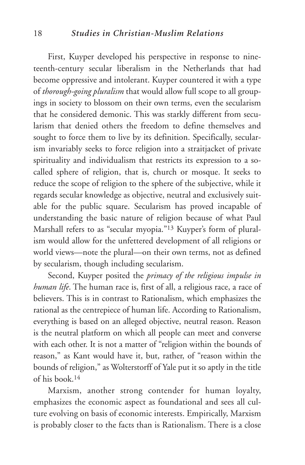First, Kuyper developed his perspective in response to nineteenth-century secular liberalism in the Netherlands that had become oppressive and intolerant. Kuyper countered it with a type of *thorough-going pluralism* that would allow full scope to all groupings in society to blossom on their own terms, even the secularism that he considered demonic. This was starkly different from secularism that denied others the freedom to define themselves and sought to force them to live by its definition. Specifically, secularism invariably seeks to force religion into a straitjacket of private spirituality and individualism that restricts its expression to a socalled sphere of religion, that is, church or mosque. It seeks to reduce the scope of religion to the sphere of the subjective, while it regards secular knowledge as objective, neutral and exclusively suitable for the public square. Secularism has proved incapable of understanding the basic nature of religion because of what Paul Marshall refers to as "secular myopia."13 Kuyper's form of pluralism would allow for the unfettered development of all religions or world views—note the plural—on their own terms, not as defined by secularism, though including secularism.

Second, Kuyper posited the *primacy of the religious impulse in human life*. The human race is, first of all, a religious race, a race of believers. This is in contrast to Rationalism, which emphasizes the rational as the centrepiece of human life. According to Rationalism, everything is based on an alleged objective, neutral reason. Reason is the neutral platform on which all people can meet and converse with each other. It is not a matter of "religion within the bounds of reason," as Kant would have it, but, rather, of "reason within the bounds of religion," as Wolterstorff of Yale put it so aptly in the title of his book.14

Marxism, another strong contender for human loyalty, emphasizes the economic aspect as foundational and sees all culture evolving on basis of economic interests. Empirically, Marxism is probably closer to the facts than is Rationalism. There is a close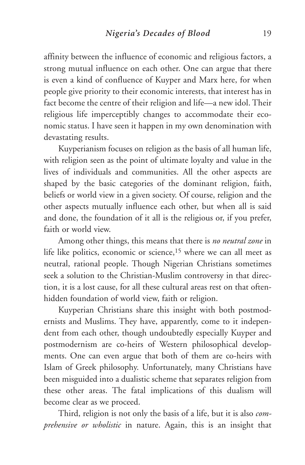affinity between the influence of economic and religious factors, a strong mutual influence on each other. One can argue that there is even a kind of confluence of Kuyper and Marx here, for when people give priority to their economic interests, that interest has in fact become the centre of their religion and life—a new idol. Their religious life imperceptibly changes to accommodate their economic status. I have seen it happen in my own denomination with devastating results.

Kuyperianism focuses on religion as the basis of all human life, with religion seen as the point of ultimate loyalty and value in the lives of individuals and communities. All the other aspects are shaped by the basic categories of the dominant religion, faith, beliefs or world view in a given society. Of course, religion and the other aspects mutually influence each other, but when all is said and done, the foundation of it all is the religious or, if you prefer, faith or world view.

Among other things, this means that there is *no neutral zone* in life like politics, economic or science,<sup>15</sup> where we can all meet as neutral, rational people. Though Nigerian Christians sometimes seek a solution to the Christian-Muslim controversy in that direction, it is a lost cause, for all these cultural areas rest on that oftenhidden foundation of world view, faith or religion.

Kuyperian Christians share this insight with both postmodernists and Muslims. They have, apparently, come to it independent from each other, though undoubtedly especially Kuyper and postmodernism are co-heirs of Western philosophical developments. One can even argue that both of them are co-heirs with Islam of Greek philosophy. Unfortunately, many Christians have been misguided into a dualistic scheme that separates religion from these other areas. The fatal implications of this dualism will become clear as we proceed.

Third, religion is not only the basis of a life, but it is also *comprehensive or wholistic* in nature. Again, this is an insight that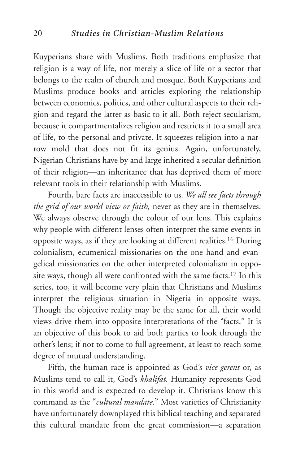Kuyperians share with Muslims. Both traditions emphasize that religion is a way of life, not merely a slice of life or a sector that belongs to the realm of church and mosque. Both Kuyperians and Muslims produce books and articles exploring the relationship between economics, politics, and other cultural aspects to their religion and regard the latter as basic to it all. Both reject secularism, because it compartmentalizes religion and restricts it to a small area of life, to the personal and private. It squeezes religion into a narrow mold that does not fit its genius. Again, unfortunately, Nigerian Christians have by and large inherited a secular definition of their religion—an inheritance that has deprived them of more relevant tools in their relationship with Muslims.

Fourth, bare facts are inaccessible to us*. We all see facts through the grid of our world view or faith,* never as they are in themselves. We always observe through the colour of our lens. This explains why people with different lenses often interpret the same events in opposite ways, as if they are looking at different realities.16 During colonialism, ecumenical missionaries on the one hand and evangelical missionaries on the other interpreted colonialism in opposite ways, though all were confronted with the same facts.17 In this series, too, it will become very plain that Christians and Muslims interpret the religious situation in Nigeria in opposite ways. Though the objective reality may be the same for all, their world views drive them into opposite interpretations of the "facts." It is an objective of this book to aid both parties to look through the other's lens; if not to come to full agreement, at least to reach some degree of mutual understanding.

Fifth, the human race is appointed as God's *vice-gerent* or, as Muslims tend to call it, God's *khalifat.* Humanity represents God in this world and is expected to develop it. Christians know this command as the "*cultural mandate*." Most varieties of Christianity have unfortunately downplayed this biblical teaching and separated this cultural mandate from the great commission—a separation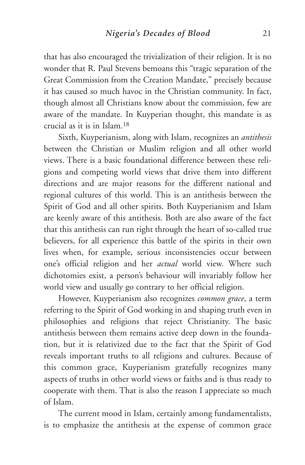that has also encouraged the trivialization of their religion. It is no wonder that R. Paul Stevens bemoans this "tragic separation of the Great Commission from the Creation Mandate," precisely because it has caused so much havoc in the Christian community. In fact, though almost all Christians know about the commission, few are aware of the mandate. In Kuyperian thought, this mandate is as crucial as it is in Islam.18

Sixth, Kuyperianism, along with Islam, recognizes an *antithesis* between the Christian or Muslim religion and all other world views. There is a basic foundational difference between these religions and competing world views that drive them into different directions and are major reasons for the different national and regional cultures of this world. This is an antithesis between the Spirit of God and all other spirits. Both Kuyperianism and Islam are keenly aware of this antithesis. Both are also aware of the fact that this antithesis can run right through the heart of so-called true believers, for all experience this battle of the spirits in their own lives when, for example, serious inconsistencies occur between one's official religion and her *actual* world view. Where such dichotomies exist, a person's behaviour will invariably follow her world view and usually go contrary to her official religion.

However, Kuyperianism also recognizes *common grace*, a term referring to the Spirit of God working in and shaping truth even in philosophies and religions that reject Christianity. The basic antithesis between them remains active deep down in the foundation, but it is relativized due to the fact that the Spirit of God reveals important truths to all religions and cultures. Because of this common grace, Kuyperianism gratefully recognizes many aspects of truths in other world views or faiths and is thus ready to cooperate with them. That is also the reason I appreciate so much of Islam.

The current mood in Islam, certainly among fundamentalists, is to emphasize the antithesis at the expense of common grace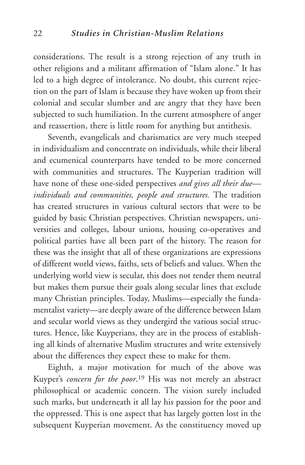considerations. The result is a strong rejection of any truth in other religions and a militant affirmation of "Islam alone." It has led to a high degree of intolerance. No doubt, this current rejection on the part of Islam is because they have woken up from their colonial and secular slumber and are angry that they have been subjected to such humiliation. In the current atmosphere of anger and reassertion, there is little room for anything but antithesis.

Seventh, evangelicals and charismatics are very much steeped in individualism and concentrate on individuals, while their liberal and ecumenical counterparts have tended to be more concerned with communities and structures. The Kuyperian tradition will have none of these one-sided perspectives *and gives all their due individuals and communities, people and structures.* The tradition has created structures in various cultural sectors that were to be guided by basic Christian perspectives. Christian newspapers, universities and colleges, labour unions, housing co-operatives and political parties have all been part of the history. The reason for these was the insight that all of these organizations are expressions of different world views, faiths, sets of beliefs and values. When the underlying world view is secular, this does not render them neutral but makes them pursue their goals along secular lines that exclude many Christian principles. Today, Muslims—especially the fundamentalist variety—are deeply aware of the difference between Islam and secular world views as they undergird the various social structures. Hence, like Kuyperians, they are in the process of establishing all kinds of alternative Muslim structures and write extensively about the differences they expect these to make for them.

Eighth, a major motivation for much of the above was Kuyper's *concern for the poor*.19 His was not merely an abstract philosophical or academic concern. The vision surely included such marks, but underneath it all lay his passion for the poor and the oppressed. This is one aspect that has largely gotten lost in the subsequent Kuyperian movement. As the constituency moved up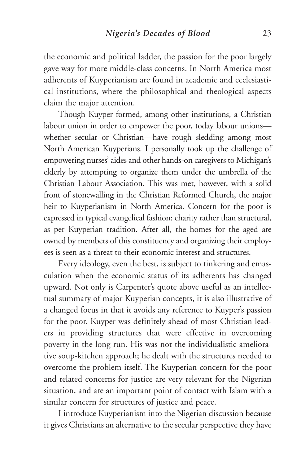the economic and political ladder, the passion for the poor largely gave way for more middle-class concerns. In North America most adherents of Kuyperianism are found in academic and ecclesiastical institutions, where the philosophical and theological aspects claim the major attention.

Though Kuyper formed, among other institutions, a Christian labour union in order to empower the poor, today labour unions whether secular or Christian—have rough sledding among most North American Kuyperians. I personally took up the challenge of empowering nurses' aides and other hands-on caregivers to Michigan's elderly by attempting to organize them under the umbrella of the Christian Labour Association. This was met, however, with a solid front of stonewalling in the Christian Reformed Church, the major heir to Kuyperianism in North America. Concern for the poor is expressed in typical evangelical fashion: charity rather than structural, as per Kuyperian tradition. After all, the homes for the aged are owned by members of this constituency and organizing their employees is seen as a threat to their economic interest and structures.

Every ideology, even the best, is subject to tinkering and emasculation when the economic status of its adherents has changed upward. Not only is Carpenter's quote above useful as an intellectual summary of major Kuyperian concepts, it is also illustrative of a changed focus in that it avoids any reference to Kuyper's passion for the poor. Kuyper was definitely ahead of most Christian leaders in providing structures that were effective in overcoming poverty in the long run. His was not the individualistic ameliorative soup-kitchen approach; he dealt with the structures needed to overcome the problem itself. The Kuyperian concern for the poor and related concerns for justice are very relevant for the Nigerian situation, and are an important point of contact with Islam with a similar concern for structures of justice and peace.

I introduce Kuyperianism into the Nigerian discussion because it gives Christians an alternative to the secular perspective they have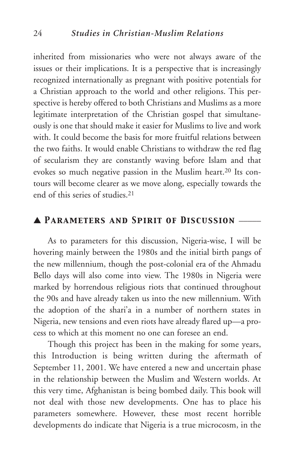inherited from missionaries who were not always aware of the issues or their implications. It is a perspective that is increasingly recognized internationally as pregnant with positive potentials for a Christian approach to the world and other religions. This perspective is hereby offered to both Christians and Muslims as a more legitimate interpretation of the Christian gospel that simultaneously is one that should make it easier for Muslims to live and work with. It could become the basis for more fruitful relations between the two faiths. It would enable Christians to withdraw the red flag of secularism they are constantly waving before Islam and that evokes so much negative passion in the Muslim heart.20 Its contours will become clearer as we move along, especially towards the end of this series of studies<sup>21</sup>

## ▲ *Parameters and Spirit of Discussion* \_\_\_\_\_

As to parameters for this discussion, Nigeria-wise, I will be hovering mainly between the 1980s and the initial birth pangs of the new millennium, though the post-colonial era of the Ahmadu Bello days will also come into view. The 1980s in Nigeria were marked by horrendous religious riots that continued throughout the 90s and have already taken us into the new millennium. With the adoption of the shari'a in a number of northern states in Nigeria, new tensions and even riots have already flared up—a process to which at this moment no one can foresee an end.

Though this project has been in the making for some years, this Introduction is being written during the aftermath of September 11, 2001. We have entered a new and uncertain phase in the relationship between the Muslim and Western worlds. At this very time, Afghanistan is being bombed daily. This book will not deal with those new developments. One has to place his parameters somewhere. However, these most recent horrible developments do indicate that Nigeria is a true microcosm, in the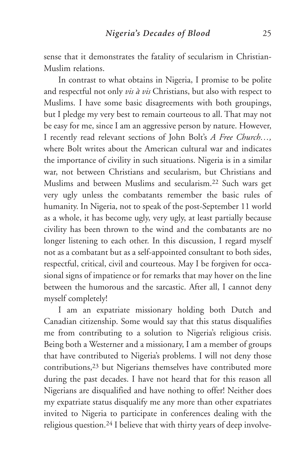sense that it demonstrates the fatality of secularism in Christian-Muslim relations.

In contrast to what obtains in Nigeria, I promise to be polite and respectful not only *vis à vis* Christians, but also with respect to Muslims. I have some basic disagreements with both groupings, but I pledge my very best to remain courteous to all. That may not be easy for me, since I am an aggressive person by nature. However, I recently read relevant sections of John Bolt's *A Free Church…,* where Bolt writes about the American cultural war and indicates the importance of civility in such situations. Nigeria is in a similar war, not between Christians and secularism, but Christians and Muslims and between Muslims and secularism.22 Such wars get very ugly unless the combatants remember the basic rules of humanity. In Nigeria, not to speak of the post-September 11 world as a whole, it has become ugly, very ugly, at least partially because civility has been thrown to the wind and the combatants are no longer listening to each other. In this discussion, I regard myself not as a combatant but as a self-appointed consultant to both sides, respectful, critical, civil and courteous. May I be forgiven for occasional signs of impatience or for remarks that may hover on the line between the humorous and the sarcastic. After all, I cannot deny myself completely!

I am an expatriate missionary holding both Dutch and Canadian citizenship. Some would say that this status disqualifies me from contributing to a solution to Nigeria's religious crisis. Being both a Westerner and a missionary, I am a member of groups that have contributed to Nigeria's problems. I will not deny those contributions,23 but Nigerians themselves have contributed more during the past decades. I have not heard that for this reason all Nigerians are disqualified and have nothing to offer! Neither does my expatriate status disqualify me any more than other expatriates invited to Nigeria to participate in conferences dealing with the religious question.24 I believe that with thirty years of deep involve-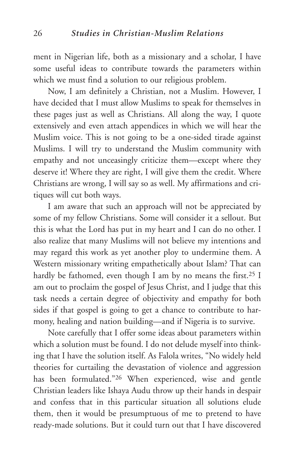ment in Nigerian life, both as a missionary and a scholar, I have some useful ideas to contribute towards the parameters within which we must find a solution to our religious problem.

Now, I am definitely a Christian, not a Muslim. However, I have decided that I must allow Muslims to speak for themselves in these pages just as well as Christians. All along the way, I quote extensively and even attach appendices in which we will hear the Muslim voice. This is not going to be a one-sided tirade against Muslims. I will try to understand the Muslim community with empathy and not unceasingly criticize them—except where they deserve it! Where they are right, I will give them the credit. Where Christians are wrong, I will say so as well. My affirmations and critiques will cut both ways.

I am aware that such an approach will not be appreciated by some of my fellow Christians. Some will consider it a sellout. But this is what the Lord has put in my heart and I can do no other. I also realize that many Muslims will not believe my intentions and may regard this work as yet another ploy to undermine them. A Western missionary writing empathetically about Islam? That can hardly be fathomed, even though I am by no means the first.<sup>25</sup> I am out to proclaim the gospel of Jesus Christ, and I judge that this task needs a certain degree of objectivity and empathy for both sides if that gospel is going to get a chance to contribute to harmony, healing and nation building—and if Nigeria is to survive.

Note carefully that I offer some ideas about parameters within which a solution must be found. I do not delude myself into thinking that I have the solution itself. As Falola writes, "No widely held theories for curtailing the devastation of violence and aggression has been formulated."26 When experienced, wise and gentle Christian leaders like Ishaya Audu throw up their hands in despair and confess that in this particular situation all solutions elude them, then it would be presumptuous of me to pretend to have ready-made solutions. But it could turn out that I have discovered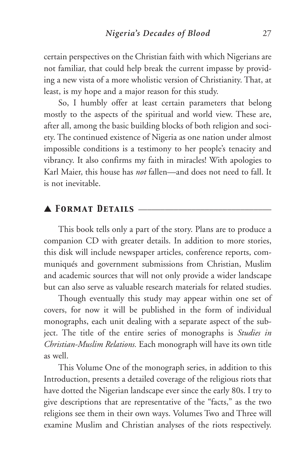certain perspectives on the Christian faith with which Nigerians are not familiar, that could help break the current impasse by providing a new vista of a more wholistic version of Christianity. That, at least, is my hope and a major reason for this study.

So, I humbly offer at least certain parameters that belong mostly to the aspects of the spiritual and world view. These are, after all, among the basic building blocks of both religion and society. The continued existence of Nigeria as one nation under almost impossible conditions is a testimony to her people's tenacity and vibrancy. It also confirms my faith in miracles! With apologies to Karl Maier, this house has *not* fallen—and does not need to fall. It is not inevitable.

#### ▲ *Format Details* \_\_\_\_\_\_\_\_\_\_\_\_\_\_\_\_\_\_\_\_\_\_\_\_\_\_\_\_\_\_

This book tells only a part of the story. Plans are to produce a companion CD with greater details. In addition to more stories, this disk will include newspaper articles, conference reports, communiqués and government submissions from Christian, Muslim and academic sources that will not only provide a wider landscape but can also serve as valuable research materials for related studies.

Though eventually this study may appear within one set of covers, for now it will be published in the form of individual monographs, each unit dealing with a separate aspect of the subject. The title of the entire series of monographs is *Studies in Christian-Muslim Relations.* Each monograph will have its own title as well.

This Volume One of the monograph series, in addition to this Introduction, presents a detailed coverage of the religious riots that have dotted the Nigerian landscape ever since the early 80s. I try to give descriptions that are representative of the "facts," as the two religions see them in their own ways. Volumes Two and Three will examine Muslim and Christian analyses of the riots respectively.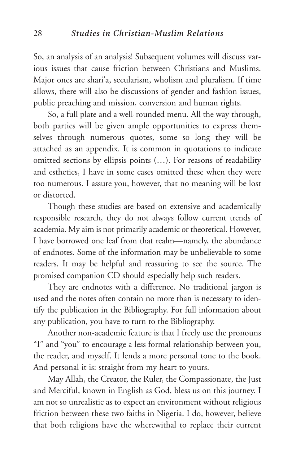So, an analysis of an analysis! Subsequent volumes will discuss various issues that cause friction between Christians and Muslims. Major ones are shari'a, secularism, wholism and pluralism. If time allows, there will also be discussions of gender and fashion issues, public preaching and mission, conversion and human rights.

So, a full plate and a well-rounded menu. All the way through, both parties will be given ample opportunities to express themselves through numerous quotes, some so long they will be attached as an appendix. It is common in quotations to indicate omitted sections by ellipsis points (…). For reasons of readability and esthetics, I have in some cases omitted these when they were too numerous. I assure you, however, that no meaning will be lost or distorted.

Though these studies are based on extensive and academically responsible research, they do not always follow current trends of academia. My aim is not primarily academic or theoretical. However, I have borrowed one leaf from that realm—namely, the abundance of endnotes. Some of the information may be unbelievable to some readers. It may be helpful and reassuring to see the source. The promised companion CD should especially help such readers.

They are endnotes with a difference. No traditional jargon is used and the notes often contain no more than is necessary to identify the publication in the Bibliography. For full information about any publication, you have to turn to the Bibliography.

Another non-academic feature is that I freely use the pronouns "I" and "you" to encourage a less formal relationship between you, the reader, and myself. It lends a more personal tone to the book. And personal it is: straight from my heart to yours.

May Allah, the Creator, the Ruler, the Compassionate, the Just and Merciful, known in English as God, bless us on this journey. I am not so unrealistic as to expect an environment without religious friction between these two faiths in Nigeria. I do, however, believe that both religions have the wherewithal to replace their current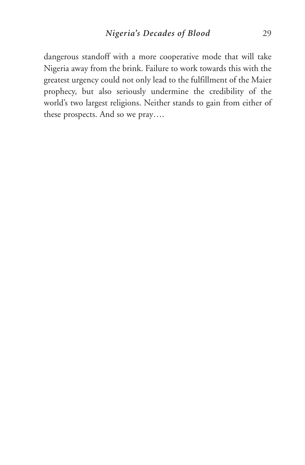dangerous standoff with a more cooperative mode that will take Nigeria away from the brink. Failure to work towards this with the greatest urgency could not only lead to the fulfillment of the Maier prophecy, but also seriously undermine the credibility of the world's two largest religions. Neither stands to gain from either of these prospects. And so we pray….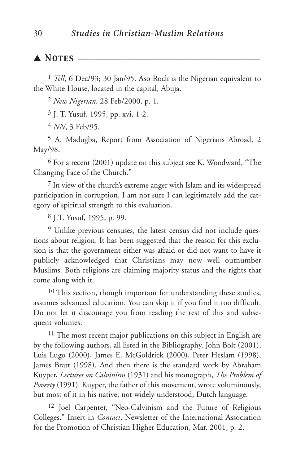$\blacktriangle$  Notes  $-$ 

1 *Tell*, 6 Dec/93; 30 Jan/95. Aso Rock is the Nigerian equivalent to the White House, located in the capital, Abuja.

2 *New Nigerian,* 28 Feb/2000, p. 1.

3 J. T. Yusuf, 1995, pp. xvi, 1-2.

4 *NN*, 3 Feb/95.

5 A. Madugba, Report from Association of Nigerians Abroad, 2 May/98.

6 For a recent (2001) update on this subject see K. Woodward, "The Changing Face of the Church."

7 In view of the church's extreme anger with Islam and its widespread participation in corruption, I am not sure I can legitimately add the category of spiritual strength to this evaluation.

8 J.T. Yusuf, 1995, p. 99.

9 Unlike previous censuses, the latest census did not include questions about religion. It has been suggested that the reason for this exclusion is that the government either was afraid or did not want to have it publicly acknowledged that Christians may now well outnumber Muslims. Both religions are claiming majority status and the rights that come along with it.

<sup>10</sup> This section, though important for understanding these studies, assumes advanced education. You can skip it if you find it too difficult. Do not let it discourage you from reading the rest of this and subsequent volumes.

<sup>11</sup> The most recent major publications on this subject in English are by the following authors, all listed in the Bibliography. John Bolt (2001), Luis Lugo (2000), James E. McGoldrick (2000), Peter Heslam (1998), James Bratt (1998). And then there is the standard work by Abraham Kuyper, *Lectures on Calvinism* (1931) and his monograph, *The Problem of Poverty* (1991). Kuyper, the father of this movement, wrote voluminously, but most of it in his native, not widely understood, Dutch language.

<sup>12</sup> Joel Carpenter, "Neo-Calvinism and the Future of Religious Colleges." Insert in *Contact*, Newsletter of the International Association for the Promotion of Christian Higher Education, Mar. 2001, p. 2.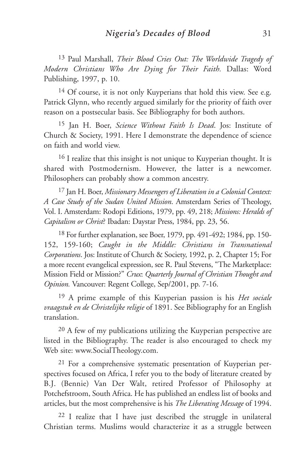13 Paul Marshall, *Their Blood Cries Out: The Worldwide Tragedy of Modern Christians Who Are Dying for Their Faith.* Dallas: Word Publishing, 1997, p. 10.

<sup>14</sup> Of course, it is not only Kuyperians that hold this view. See e.g. Patrick Glynn, who recently argued similarly for the priority of faith over reason on a postsecular basis. See Bibliography for both authors.

15 Jan H. Boer, *Science Without Faith Is Dead*. Jos: Institute of Church & Society, 1991. Here I demonstrate the dependence of science on faith and world view.

<sup>16</sup> I realize that this insight is not unique to Kuyperian thought. It is shared with Postmodernism. However, the latter is a newcomer. Philosophers can probably show a common ancestry.

17 Jan H. Boer, *Missionary Messengers of Liberation in a Colonial Context: A Case Study of the Sudan United Mission*. Amsterdam Series of Theology, Vol. I. Amsterdam: Rodopi Editions, 1979, pp. 49, 218; *Missions: Heralds of Capitalism or Christ*? Ibadan: Daystar Press, 1984, pp. 23, 56.

18 For further explanation, see Boer, 1979, pp. 491-492; 1984, pp. 150- 152, 159-160; *Caught in the Middle: Christians in Transnational Corporations*. Jos: Institute of Church & Society, 1992, p. 2, Chapter 15; For a more recent evangelical expression, see R. Paul Stevens, "The Marketplace: Mission Field or Mission?" *Crux*: *Quarterly Journal of Christian Thought and Opinion.* Vancouver: Regent College, Sep/2001, pp. 7-16.

19 A prime example of this Kuyperian passion is his *Het sociale vraagstuk en de Christelijke religie* of 1891. See Bibliography for an English translation.

20 A few of my publications utilizing the Kuyperian perspective are listed in the Bibliography. The reader is also encouraged to check my Web site: www.SocialTheology.com.

21 For a comprehensive systematic presentation of Kuyperian perspectives focused on Africa, I refer you to the body of literature created by B.J. (Bennie) Van Der Walt, retired Professor of Philosophy at Potchefstroom, South Africa. He has published an endless list of books and articles, but the most comprehensive is his *The Liberating Message* of 1994.

22 I realize that I have just described the struggle in unilateral Christian terms. Muslims would characterize it as a struggle between